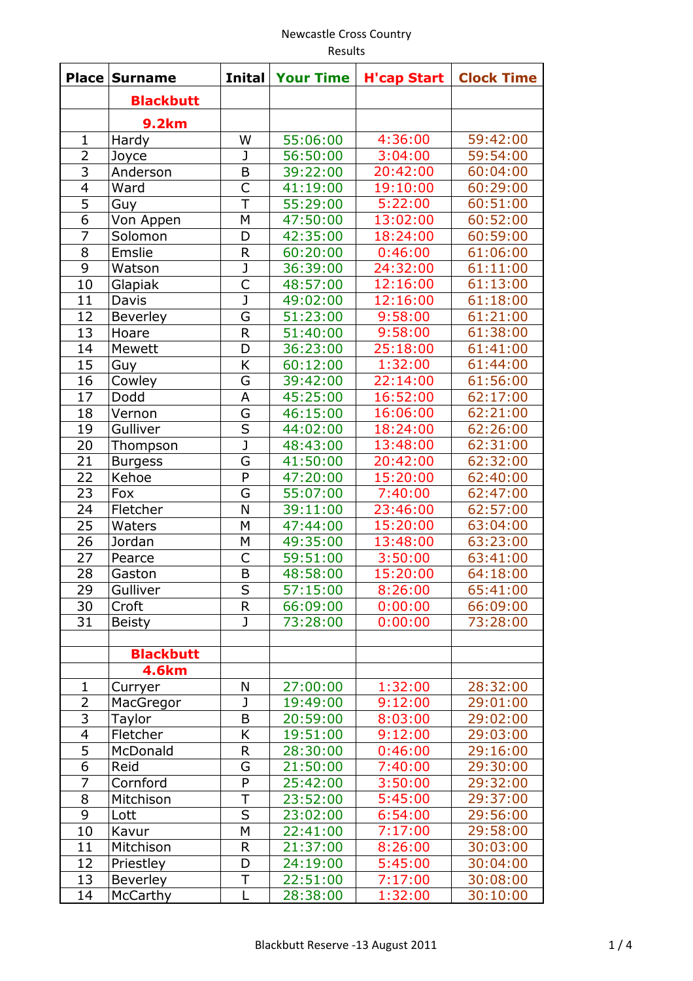## Newcastle Cross Country Results

| Place          | <b>Surname</b>        | <b>Inital</b>           | <b>Your Time</b>     | <b>H'cap Start</b> | <b>Clock Time</b>    |
|----------------|-----------------------|-------------------------|----------------------|--------------------|----------------------|
|                | <b>Blackbutt</b>      |                         |                      |                    |                      |
|                |                       |                         |                      |                    |                      |
| 1              | <b>9.2km</b><br>Hardy | W                       | 55:06:00             | 4:36:00            | 59:42:00             |
| $\overline{2}$ | Joyce                 | $\mathbf{J}$            | 56:50:00             | 3:04:00            | 59:54:00             |
| 3              | Anderson              | B                       | 39:22:00             | 20:42:00           | 60:04:00             |
| $\overline{4}$ | Ward                  | $\overline{\mathsf{C}}$ | 41:19:00             | 19:10:00           | 60:29:00             |
| 5              |                       | T                       | 55:29:00             | 5:22:00            | 60:51:00             |
| 6              | Guy                   | M                       | 47:50:00             | 13:02:00           | 60:52:00             |
| $\overline{7}$ | Von Appen             | D                       | 42:35:00             | 18:24:00           | 60:59:00             |
| 8              | Solomon               | $\mathsf{R}$            |                      | 0:46:00            |                      |
| 9              | Emslie<br>Watson      | $\overline{\mathsf{J}}$ | 60:20:00<br>36:39:00 | 24:32:00           | 61:06:00<br>61:11:00 |
|                |                       | $\overline{C}$          |                      |                    |                      |
| 10             | Glapiak               |                         | 48:57:00             | 12:16:00           | 61:13:00             |
| 11             | Davis                 | J                       | 49:02:00             | 12:16:00           | 61:18:00             |
| 12             | <b>Beverley</b>       | G                       | 51:23:00             | 9:58:00            | 61:21:00             |
| 13             | Hoare                 | $\mathsf{R}$            | 51:40:00             | 9:58:00            | 61:38:00             |
| 14             | Mewett                | D                       | 36:23:00             | 25:18:00           | 61:41:00             |
| 15             | Guy                   | K                       | 60:12:00             | 1:32:00            | 61:44:00             |
| 16             | Cowley                | G                       | 39:42:00             | 22:14:00           | 61:56:00             |
| 17             | Dodd                  | A                       | 45:25:00             | 16:52:00           | 62:17:00             |
| 18             | Vernon                | G                       | 46:15:00             | 16:06:00           | 62:21:00             |
| 19             | Gulliver              | $\overline{\mathsf{s}}$ | 44:02:00             | 18:24:00           | 62:26:00             |
| 20             | Thompson              | $\overline{\mathsf{J}}$ | 48:43:00             | 13:48:00           | 62:31:00             |
| 21             | <b>Burgess</b>        | G                       | 41:50:00             | 20:42:00           | 62:32:00             |
| 22             | Kehoe                 | P                       | 47:20:00             | 15:20:00           | 62:40:00             |
| 23             | Fox                   | G                       | 55:07:00             | 7:40:00            | 62:47:00             |
| 24             | Fletcher              | N                       | 39:11:00             | 23:46:00           | 62:57:00             |
| 25             | Waters                | M                       | 47:44:00             | 15:20:00           | 63:04:00             |
| 26             | Jordan                | M                       | 49:35:00             | 13:48:00           | 63:23:00             |
| 27             | Pearce                | $\mathsf{C}$            | 59:51:00             | 3:50:00            | 63:41:00             |
| 28             | Gaston                | B                       | 48:58:00             | 15:20:00           | 64:18:00             |
| 29             | Gulliver              | S                       | 57:15:00             | 8:26:00            | 65:41:00             |
| 30             | Croft                 | $\mathsf{R}$            | 66:09:00             | 0:00:00            | 66:09:00             |
| 31             | <b>Beisty</b>         | J                       | 73:28:00             | 0:00:00            | 73:28:00             |
|                |                       |                         |                      |                    |                      |
|                | <b>Blackbutt</b>      |                         |                      |                    |                      |
|                | <b>4.6km</b>          |                         |                      |                    |                      |
| 1              | Curryer               | N                       | 27:00:00             | 1:32:00            | 28:32:00             |
| $\overline{2}$ | MacGregor             | $\mathbf{J}$            | 19:49:00             | 9:12:00            | 29:01:00             |
| $\overline{3}$ | Taylor                | B                       | 20:59:00             | 8:03:00            | 29:02:00             |
| $\overline{4}$ | Fletcher              | Κ                       | 19:51:00             | 9:12:00            | 29:03:00             |
| 5              | McDonald              | $\mathsf{R}$            | 28:30:00             | 0:46:00            | 29:16:00             |
| 6              | Reid                  | G                       | 21:50:00             | 7:40:00            | 29:30:00             |
| 7              | Cornford              | P                       | 25:42:00             | 3:50:00            | 29:32:00             |
| 8              | Mitchison             | T                       | 23:52:00             | 5:45:00            | 29:37:00             |
| 9              | Lott                  | S                       | 23:02:00             | 6:54:00            | 29:56:00             |
| 10             | Kavur                 | M                       | 22:41:00             | 7:17:00            | 29:58:00             |
| 11             | Mitchison             | $\mathsf{R}$            | 21:37:00             | 8:26:00            | 30:03:00             |
| 12             | Priestley             | D                       | 24:19:00             | 5:45:00            | 30:04:00             |
| 13             | Beverley              | T                       | 22:51:00             | 7:17:00            | 30:08:00             |
| 14             | McCarthy              | L                       | 28:38:00             | 1:32:00            | 30:10:00             |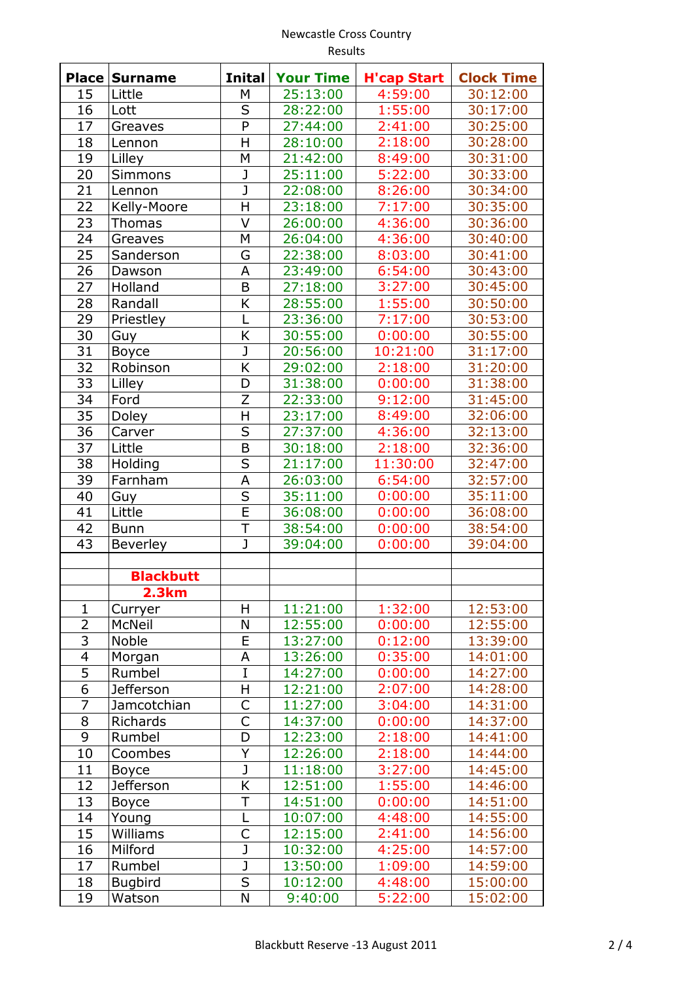## Newcastle Cross Country Results

| Place                   | <b>Surname</b>   | <b>Inital</b> | <b>Your Time</b> | <b>H'cap Start</b> | <b>Clock Time</b> |
|-------------------------|------------------|---------------|------------------|--------------------|-------------------|
| 15                      | Little           | М             | 25:13:00         | 4:59:00            | 30:12:00          |
| 16                      | Lott             | S             | 28:22:00         | 1:55:00            | 30:17:00          |
| 17                      | Greaves          | P             | 27:44:00         | 2:41:00            | 30:25:00          |
| 18                      | Lennon           | H             | 28:10:00         | 2:18:00            | 30:28:00          |
| 19                      | Lilley           | M             | 21:42:00         | 8:49:00            | 30:31:00          |
| 20                      | <b>Simmons</b>   | J             | 25:11:00         | 5:22:00            | 30:33:00          |
| 21                      | Lennon           | J             | 22:08:00         | 8:26:00            | 30:34:00          |
| 22                      | Kelly-Moore      | H             | 23:18:00         | 7:17:00            | 30:35:00          |
| 23                      | <b>Thomas</b>    | V             | 26:00:00         | 4:36:00            | 30:36:00          |
| 24                      | Greaves          | M             | 26:04:00         | 4:36:00            | 30:40:00          |
| 25                      | Sanderson        | G             | 22:38:00         | 8:03:00            | 30:41:00          |
| 26                      | Dawson           | A             | 23:49:00         | 6:54:00            | 30:43:00          |
| 27                      | Holland          | B             | 27:18:00         | 3:27:00            | 30:45:00          |
| 28                      | Randall          | K             | 28:55:00         | 1:55:00            | 30:50:00          |
| 29                      | Priestley        | L             | 23:36:00         | 7:17:00            | 30:53:00          |
| 30                      | Guy              | K             | 30:55:00         | 0:00:00            | 30:55:00          |
| 31                      | <b>Boyce</b>     | J             | 20:56:00         | 10:21:00           | 31:17:00          |
| 32                      | Robinson         | K             | 29:02:00         | 2:18:00            | 31:20:00          |
| 33                      | Lilley           | D             | 31:38:00         | 0:00:00            | 31:38:00          |
| 34                      | Ford             | Z             | 22:33:00         | 9:12:00            | 31:45:00          |
| 35                      | Doley            | H             | 23:17:00         | 8:49:00            | 32:06:00          |
| 36                      | Carver           | S             | 27:37:00         | 4:36:00            | 32:13:00          |
| 37                      | Little           | B             | 30:18:00         | 2:18:00            | 32:36:00          |
| 38                      | Holding          | S             | 21:17:00         | 11:30:00           | 32:47:00          |
| 39                      | Farnham          | A             | 26:03:00         | 6:54:00            | 32:57:00          |
| 40                      | Guy              | $\sf S$       | 35:11:00         | 0:00:00            | 35:11:00          |
| 41                      | Little           | E             | 36:08:00         | 0:00:00            | 36:08:00          |
| 42                      | <b>Bunn</b>      | T             | 38:54:00         | 0:00:00            | 38:54:00          |
| 43                      | <b>Beverley</b>  | J             | 39:04:00         | 0:00:00            | 39:04:00          |
|                         |                  |               |                  |                    |                   |
|                         | <b>Blackbutt</b> |               |                  |                    |                   |
|                         | <b>2.3km</b>     |               |                  |                    |                   |
| 1                       | Curryer          | Η             | 11:21:00         | 1:32:00            | 12:53:00          |
| $\overline{2}$          | McNeil           | N             | 12:55:00         | 0:00:00            | 12:55:00          |
| $\overline{3}$          | Noble            | E             | 13:27:00         | 0:12:00            | 13:39:00          |
| $\overline{\mathbf{4}}$ | Morgan           | А             | 13:26:00         | 0:35:00            | 14:01:00          |
| $\overline{5}$          | Rumbel           | I             | 14:27:00         | 0:00:00            | 14:27:00          |
| $\overline{6}$          | <b>Jefferson</b> | H             | 12:21:00         | 2:07:00            | 14:28:00          |
| 7                       | Jamcotchian      | C             | 11:27:00         | 3:04:00            | 14:31:00          |
| 8                       | Richards         | C             | 14:37:00         | 0:00:00            | 14:37:00          |
| 9                       | Rumbel           | D             | 12:23:00         | 2:18:00            | 14:41:00          |
| 10                      | Coombes          | Υ             | 12:26:00         | 2:18:00            | 14:44:00          |
| 11                      | <b>Boyce</b>     | J             | 11:18:00         | 3:27:00            | 14:45:00          |
| 12                      | <b>Jefferson</b> | K             | 12:51:00         | 1:55:00            | 14:46:00          |
| 13                      | <b>Boyce</b>     | Τ             | 14:51:00         | 0:00:00            | 14:51:00          |
| 14                      | Young            | L             | 10:07:00         | 4:48:00            | 14:55:00          |
| 15                      | Williams         | C             | 12:15:00         | 2:41:00            | 14:56:00          |
| 16                      | Milford          | J             | 10:32:00         | 4:25:00            | 14:57:00          |
| 17                      | Rumbel           | J             | 13:50:00         | 1:09:00            | 14:59:00          |
| 18                      | <b>Bugbird</b>   | S             | 10:12:00         | 4:48:00            | 15:00:00          |
| 19                      | Watson           | N             | 9:40:00          | 5:22:00            | 15:02:00          |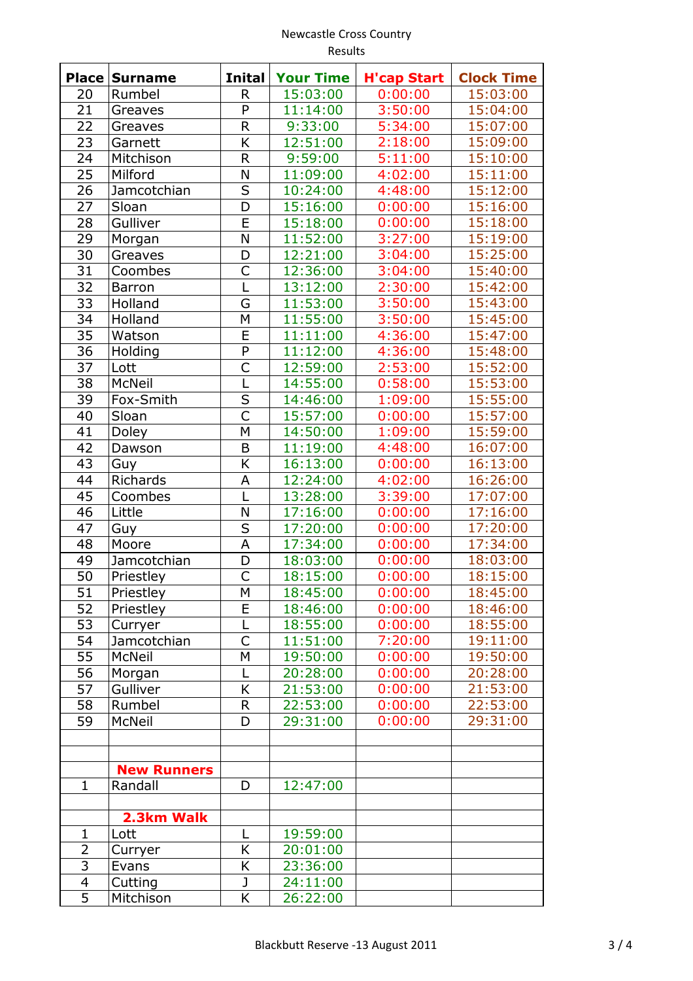## Newcastle Cross Country Results

| <b>Place</b>    | <b>Surname</b>     | <b>Inital</b>           | <b>Your Time</b> | <b>H'cap Start</b> | <b>Clock Time</b> |
|-----------------|--------------------|-------------------------|------------------|--------------------|-------------------|
| 20              | Rumbel             | R                       | 15:03:00         | 0:00:00            | 15:03:00          |
| 21              | Greaves            | P                       | 11:14:00         | 3:50:00            | 15:04:00          |
| 22              | Greaves            | R                       | 9:33:00          | 5:34:00            | 15:07:00          |
| 23              | Garnett            | K                       | 12:51:00         | 2:18:00            | 15:09:00          |
| 24              | Mitchison          | R                       | 9:59:00          | 5:11:00            | 15:10:00          |
| 25              | Milford            | N                       | 11:09:00         | 4:02:00            | 15:11:00          |
| 26              | Jamcotchian        | S                       | 10:24:00         | 4:48:00            | 15:12:00          |
| 27              | Sloan              | $\overline{D}$          | 15:16:00         | 0:00:00            | 15:16:00          |
| 28              | Gulliver           | E                       | 15:18:00         | 0:00:00            | 15:18:00          |
| 29              | Morgan             | N                       | 11:52:00         | 3:27:00            | 15:19:00          |
| 30              | Greaves            | D                       | 12:21:00         | 3:04:00            | 15:25:00          |
| 31              | Coombes            | C                       | 12:36:00         | 3:04:00            | 15:40:00          |
| 32              | <b>Barron</b>      | L                       | 13:12:00         | 2:30:00            | 15:42:00          |
| $\overline{33}$ | Holland            | G                       | 11:53:00         | 3:50:00            | 15:43:00          |
| 34              | Holland            | M                       | 11:55:00         | 3:50:00            | 15:45:00          |
| 35              | Watson             | E                       | 11:11:00         | 4:36:00            | 15:47:00          |
| 36              | Holding            | P                       | 11:12:00         | 4:36:00            | 15:48:00          |
| 37              | Lott               | C                       | 12:59:00         | 2:53:00            | 15:52:00          |
| 38              | McNeil             | $\mathsf{L}$            | 14:55:00         | 0:58:00            | 15:53:00          |
| 39              | Fox-Smith          | S                       | 14:46:00         | 1:09:00            | 15:55:00          |
| 40              | Sloan              | $\overline{\mathsf{C}}$ | 15:57:00         | 0:00:00            | 15:57:00          |
| 41              | Doley              | M                       | 14:50:00         | 1:09:00            | 15:59:00          |
| 42              | Dawson             | B                       | 11:19:00         | 4:48:00            | 16:07:00          |
| 43              | Guy                | K                       | 16:13:00         | 0:00:00            | 16:13:00          |
| 44              | <b>Richards</b>    | A                       | 12:24:00         | 4:02:00            | 16:26:00          |
| 45              | Coombes            | L                       | 13:28:00         | 3:39:00            | 17:07:00          |
| 46              | Little             | N                       | 17:16:00         | 0:00:00            | 17:16:00          |
| 47              | Guy                | S                       | 17:20:00         | 0:00:00            | 17:20:00          |
| 48              | Moore              | A                       | 17:34:00         | 0:00:00            | 17:34:00          |
| 49              | Jamcotchian        | D                       | 18:03:00         | 0:00:00            | 18:03:00          |
| 50              | Priestley          | C                       | 18:15:00         | 0:00:00            | 18:15:00          |
| 51              | Priestley          |                         | 18:45:00         | 0:00:00            | 18:45:00          |
| 52              |                    | М<br>E                  | 18:46:00         |                    | 18:46:00          |
|                 | Priestley          |                         |                  | 0:00:00            |                   |
| 53<br>54        | Curryer            | L<br>C                  | 18:55:00         | 0:00:00            | 18:55:00          |
|                 | Jamcotchian        |                         | 11:51:00         | 7:20:00            | 19:11:00          |
| 55              | McNeil             | M                       | 19:50:00         | 0:00:00            | 19:50:00          |
| 56              | Morgan             | L                       | 20:28:00         | 0:00:00            | 20:28:00          |
| 57              | Gulliver           | K                       | 21:53:00         | 0:00:00            | 21:53:00          |
| 58              | Rumbel             | R                       | 22:53:00         | 0:00:00            | 22:53:00          |
| 59              | McNeil             | D                       | 29:31:00         | 0:00:00            | 29:31:00          |
|                 |                    |                         |                  |                    |                   |
|                 |                    |                         |                  |                    |                   |
|                 | <b>New Runners</b> |                         |                  |                    |                   |
| $\mathbf 1$     | Randall            | D                       | 12:47:00         |                    |                   |
|                 |                    |                         |                  |                    |                   |
|                 | 2.3km Walk         |                         |                  |                    |                   |
| $\mathbf 1$     | Lott               | L                       | 19:59:00         |                    |                   |
| $\overline{2}$  | Curryer            | K                       | 20:01:00         |                    |                   |
| 3               | Evans              | Κ                       | 23:36:00         |                    |                   |
| 4               | Cutting            | J                       | 24:11:00         |                    |                   |
| $\overline{5}$  | Mitchison          | K                       | 26:22:00         |                    |                   |